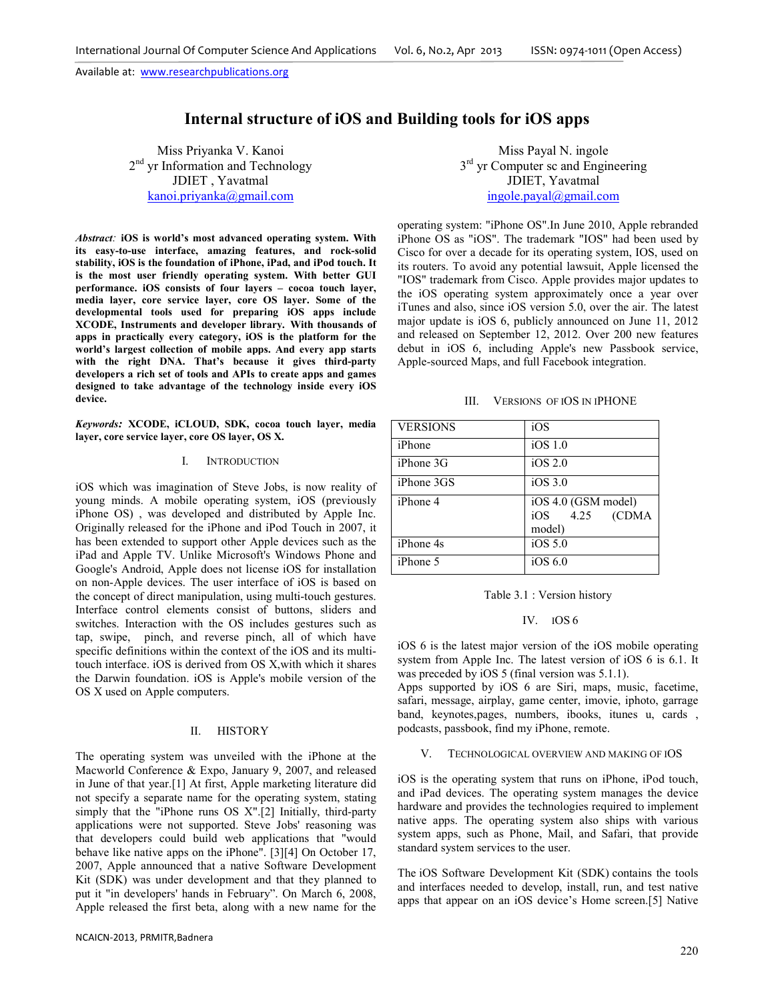# **Internal structure of iOS and Building tools for iOS apps**

Miss Priyanka V. Kanoi 2<sup>nd</sup> yr Information and Technology JDIET , Yavatmal kanoi.priyanka@gmail.com

*Abstract:* **iOS is world's most advanced operating system. With its easy-to-use interface, amazing features, and rock-solid stability, iOS is the foundation of iPhone, iPad, and iPod touch. It is the most user friendly operating system. With better GUI performance. iOS consists of four layers – cocoa touch layer, media layer, core service layer, core OS layer. Some of the developmental tools used for preparing iOS apps include XCODE, Instruments and developer library. With thousands of apps in practically every category, iOS is the platform for the world's largest collection of mobile apps. And every app starts with the right DNA. That's because it gives third-party developers a rich set of tools and APIs to create apps and games designed to take advantage of the technology inside every iOS device.**

*Keywords:* **XCODE, iCLOUD, SDK, cocoa touch layer, media layer, core service layer, core OS layer, OS X.** 

## I. INTRODUCTION

iOS which was imagination of Steve Jobs, is now reality of young minds. A mobile operating system, iOS (previously iPhone OS) , was developed and distributed by Apple Inc. Originally released for the iPhone and iPod Touch in 2007, it has been extended to support other Apple devices such as the iPad and Apple TV. Unlike Microsoft's Windows Phone and Google's Android, Apple does not license iOS for installation on non-Apple devices. The user interface of iOS is based on the concept of direct manipulation, using multi-touch gestures. Interface control elements consist of buttons, sliders and switches. Interaction with the OS includes gestures such as tap, swipe, pinch, and reverse pinch, all of which have specific definitions within the context of the iOS and its multitouch interface. iOS is derived from OS X,with which it shares the Darwin foundation. iOS is Apple's mobile version of the OS X used on Apple computers.

## II. HISTORY

The operating system was unveiled with the iPhone at the Macworld Conference & Expo, January 9, 2007, and released in June of that year.[1] At first, Apple marketing literature did not specify a separate name for the operating system, stating simply that the "iPhone runs OS X".[2] Initially, third-party applications were not supported. Steve Jobs' reasoning was that developers could build web applications that "would behave like native apps on the iPhone". [3][4] On October 17, 2007, Apple announced that a native Software Development Kit (SDK) was under development and that they planned to put it "in developers' hands in February". On March 6, 2008, Apple released the first beta, along with a new name for the

Miss Payal N. ingole 3<sup>rd</sup> yr Computer sc and Engineering JDIET, Yavatmal ingole.payal@gmail.com

operating system: "iPhone OS".In June 2010, Apple rebranded iPhone OS as "iOS". The trademark "IOS" had been used by Cisco for over a decade for its operating system, IOS, used on its routers. To avoid any potential lawsuit, Apple licensed the "IOS" trademark from Cisco. Apple provides major updates to the iOS operating system approximately once a year over iTunes and also, since iOS version 5.0, over the air. The latest major update is iOS 6, publicly announced on June 11, 2012 and released on September 12, 2012. Over 200 new features debut in iOS 6, including Apple's new Passbook service, Apple-sourced Maps, and full Facebook integration.

| III. |  | <b>VERSIONS OF IOS IN IPHONE</b> |
|------|--|----------------------------------|
|------|--|----------------------------------|

| <b>VERSIONS</b>  | iOS                  |
|------------------|----------------------|
| iPhone           | $iOS$ 1.0            |
| iPhone 3G        | iOS 2.0              |
| iPhone 3GS       | $iOS$ 3.0            |
| <i>iPhone 4</i>  | iOS 4.0 (GSM model)  |
|                  | 4.25<br>iOS<br>(CDMA |
|                  | model)               |
| <i>iPhone 4s</i> | iOS 5.0              |
| <i>iPhone 5</i>  | iOS 6.0              |

## IV. IOS 6

iOS 6 is the latest major version of the iOS mobile operating system from Apple Inc. The latest version of iOS 6 is 6.1. It was preceded by iOS 5 (final version was 5.1.1).

Apps supported by iOS 6 are Siri, maps, music, facetime, safari, message, airplay, game center, imovie, iphoto, garrage band, keynotes,pages, numbers, ibooks, itunes u, cards , podcasts, passbook, find my iPhone, remote.

#### V. TECHNOLOGICAL OVERVIEW AND MAKING OF IOS

iOS is the operating system that runs on iPhone, iPod touch, and iPad devices. The operating system manages the device hardware and provides the technologies required to implement native apps. The operating system also ships with various system apps, such as Phone, Mail, and Safari, that provide standard system services to the user.

The iOS Software Development Kit (SDK) contains the tools and interfaces needed to develop, install, run, and test native apps that appear on an iOS device's Home screen.[5] Native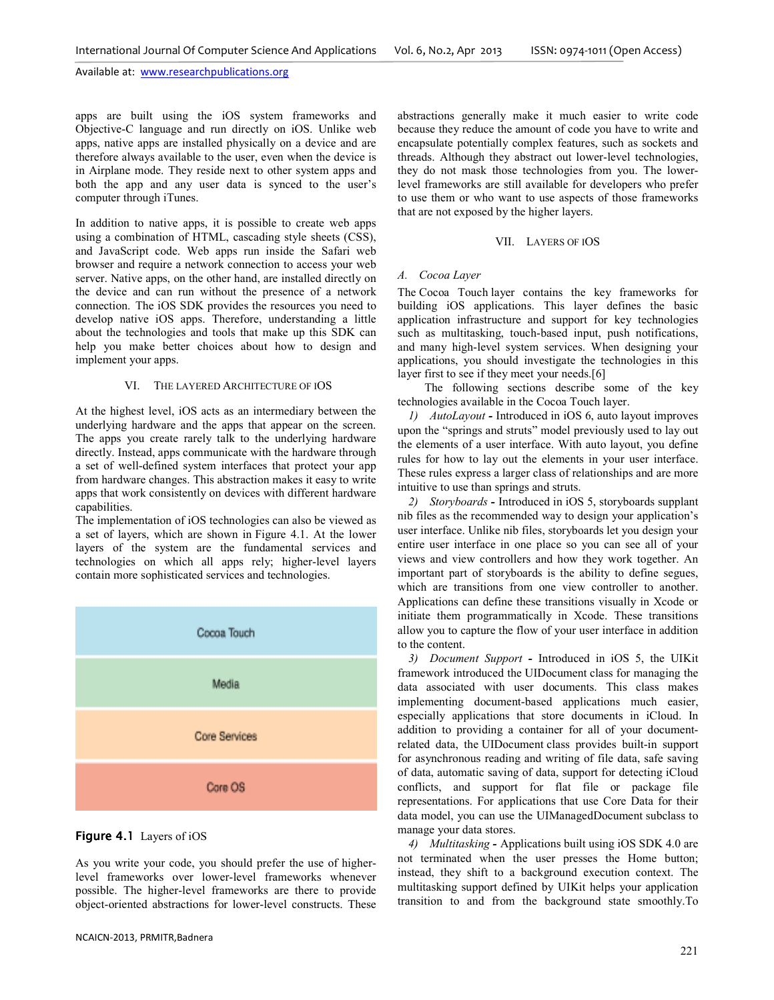apps are built using the iOS system frameworks and Objective-C language and run directly on iOS. Unlike web apps, native apps are installed physically on a device and are therefore always available to the user, even when the device is in Airplane mode. They reside next to other system apps and both the app and any user data is synced to the user's computer through iTunes.

In addition to native apps, it is possible to create web apps using a combination of HTML, cascading style sheets (CSS), and JavaScript code. Web apps run inside the Safari web browser and require a network connection to access your web server. Native apps, on the other hand, are installed directly on the device and can run without the presence of a network connection. The iOS SDK provides the resources you need to develop native iOS apps. Therefore, understanding a little about the technologies and tools that make up this SDK can help you make better choices about how to design and implement your apps.

## VI. THE LAYERED ARCHITECTURE OF IOS

At the highest level, iOS acts as an intermediary between the underlying hardware and the apps that appear on the screen. The apps you create rarely talk to the underlying hardware directly. Instead, apps communicate with the hardware through a set of well-defined system interfaces that protect your app from hardware changes. This abstraction makes it easy to write apps that work consistently on devices with different hardware capabilities.

The implementation of iOS technologies can also be viewed as a set of layers, which are shown in Figure 4.1. At the lower layers of the system are the fundamental services and technologies on which all apps rely; higher-level layers contain more sophisticated services and technologies.



## Figure 4.1 Layers of iOS

As you write your code, you should prefer the use of higherlevel frameworks over lower-level frameworks whenever possible. The higher-level frameworks are there to provide object-oriented abstractions for lower-level constructs. These abstractions generally make it much easier to write code because they reduce the amount of code you have to write and encapsulate potentially complex features, such as sockets and threads. Although they abstract out lower-level technologies, they do not mask those technologies from you. The lowerlevel frameworks are still available for developers who prefer to use them or who want to use aspects of those frameworks that are not exposed by the higher layers.

#### VII. LAYERS OF IOS

#### *A. Cocoa Layer*

The Cocoa Touch layer contains the key frameworks for building iOS applications. This layer defines the basic application infrastructure and support for key technologies such as multitasking, touch-based input, push notifications, and many high-level system services. When designing your applications, you should investigate the technologies in this layer first to see if they meet your needs.[6]

 The following sections describe some of the key technologies available in the Cocoa Touch layer.

*1) AutoLayout -* Introduced in iOS 6, auto layout improves upon the "springs and struts" model previously used to lay out the elements of a user interface. With auto layout, you define rules for how to lay out the elements in your user interface. These rules express a larger class of relationships and are more intuitive to use than springs and struts.

*2) Storyboards -* Introduced in iOS 5, storyboards supplant nib files as the recommended way to design your application's user interface. Unlike nib files, storyboards let you design your entire user interface in one place so you can see all of your views and view controllers and how they work together. An important part of storyboards is the ability to define segues, which are transitions from one view controller to another. Applications can define these transitions visually in Xcode or initiate them programmatically in Xcode. These transitions allow you to capture the flow of your user interface in addition to the content.

*3) Document Support -* Introduced in iOS 5, the UIKit framework introduced the UIDocument class for managing the data associated with user documents. This class makes implementing document-based applications much easier, especially applications that store documents in iCloud. In addition to providing a container for all of your documentrelated data, the UIDocument class provides built-in support for asynchronous reading and writing of file data, safe saving of data, automatic saving of data, support for detecting iCloud conflicts, and support for flat file or package file representations. For applications that use Core Data for their data model, you can use the UIManagedDocument subclass to manage your data stores.

*4) Multitasking -* Applications built using iOS SDK 4.0 are not terminated when the user presses the Home button; instead, they shift to a background execution context. The multitasking support defined by UIKit helps your application transition to and from the background state smoothly.To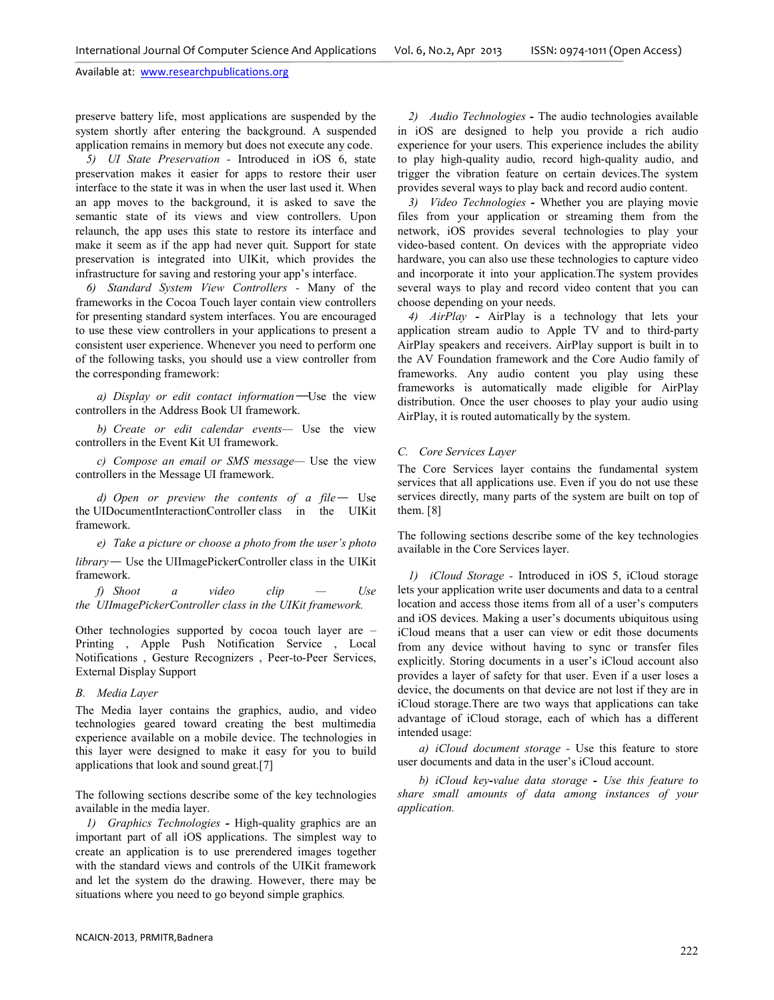preserve battery life, most applications are suspended by the system shortly after entering the background. A suspended application remains in memory but does not execute any code.

*5) UI State Preservation -* Introduced in iOS 6, state preservation makes it easier for apps to restore their user interface to the state it was in when the user last used it. When an app moves to the background, it is asked to save the semantic state of its views and view controllers. Upon relaunch, the app uses this state to restore its interface and make it seem as if the app had never quit. Support for state preservation is integrated into UIKit, which provides the infrastructure for saving and restoring your app's interface.

*6) Standard System View Controllers -* Many of the frameworks in the Cocoa Touch layer contain view controllers for presenting standard system interfaces. You are encouraged to use these view controllers in your applications to present a consistent user experience. Whenever you need to perform one of the following tasks, you should use a view controller from the corresponding framework:

*a) Display or edit contact information*—Use the view controllers in the Address Book UI framework.

*b) Create or edit calendar events—* Use the view controllers in the Event Kit UI framework.

*c) Compose an email or SMS message—* Use the view controllers in the Message UI framework.

*d) Open or preview the contents of a file*— Use the UIDocumentInteractionController class in the UIKit framework.

*e) Take a picture or choose a photo from the user's photo library*— Use the UIImagePickerController class in the UIKit framework.

*f) Shoot a video clip — Use the UIImagePickerController class in the UIKit framework.* 

Other technologies supported by cocoa touch layer are – Printing , Apple Push Notification Service , Local Notifications , Gesture Recognizers , Peer-to-Peer Services, External Display Support

## *B. Media Layer*

The Media layer contains the graphics, audio, and video technologies geared toward creating the best multimedia experience available on a mobile device. The technologies in this layer were designed to make it easy for you to build applications that look and sound great.[7]

The following sections describe some of the key technologies available in the media layer.

*1) Graphics Technologies -* High-quality graphics are an important part of all iOS applications. The simplest way to create an application is to use prerendered images together with the standard views and controls of the UIKit framework and let the system do the drawing. However, there may be situations where you need to go beyond simple graphics*.* 

*2) Audio Technologies -* The audio technologies available in iOS are designed to help you provide a rich audio experience for your users. This experience includes the ability to play high-quality audio, record high-quality audio, and trigger the vibration feature on certain devices.The system provides several ways to play back and record audio content.

*3) Video Technologies -* Whether you are playing movie files from your application or streaming them from the network, iOS provides several technologies to play your video-based content. On devices with the appropriate video hardware, you can also use these technologies to capture video and incorporate it into your application.The system provides several ways to play and record video content that you can choose depending on your needs.

*4) AirPlay -* AirPlay is a technology that lets your application stream audio to Apple TV and to third-party AirPlay speakers and receivers. AirPlay support is built in to the AV Foundation framework and the Core Audio family of frameworks. Any audio content you play using these frameworks is automatically made eligible for AirPlay distribution. Once the user chooses to play your audio using AirPlay, it is routed automatically by the system.

## *C. Core Services Layer*

The Core Services layer contains the fundamental system services that all applications use. Even if you do not use these services directly, many parts of the system are built on top of them. [8]

The following sections describe some of the key technologies available in the Core Services layer.

*1) iCloud Storage -* Introduced in iOS 5, iCloud storage lets your application write user documents and data to a central location and access those items from all of a user's computers and iOS devices. Making a user's documents ubiquitous using iCloud means that a user can view or edit those documents from any device without having to sync or transfer files explicitly. Storing documents in a user's iCloud account also provides a layer of safety for that user. Even if a user loses a device, the documents on that device are not lost if they are in iCloud storage.There are two ways that applications can take advantage of iCloud storage, each of which has a different intended usage:

*a) iCloud document storage -* Use this feature to store user documents and data in the user's iCloud account.

*b) iCloud key-value data storage - Use this feature to share small amounts of data among instances of your application.*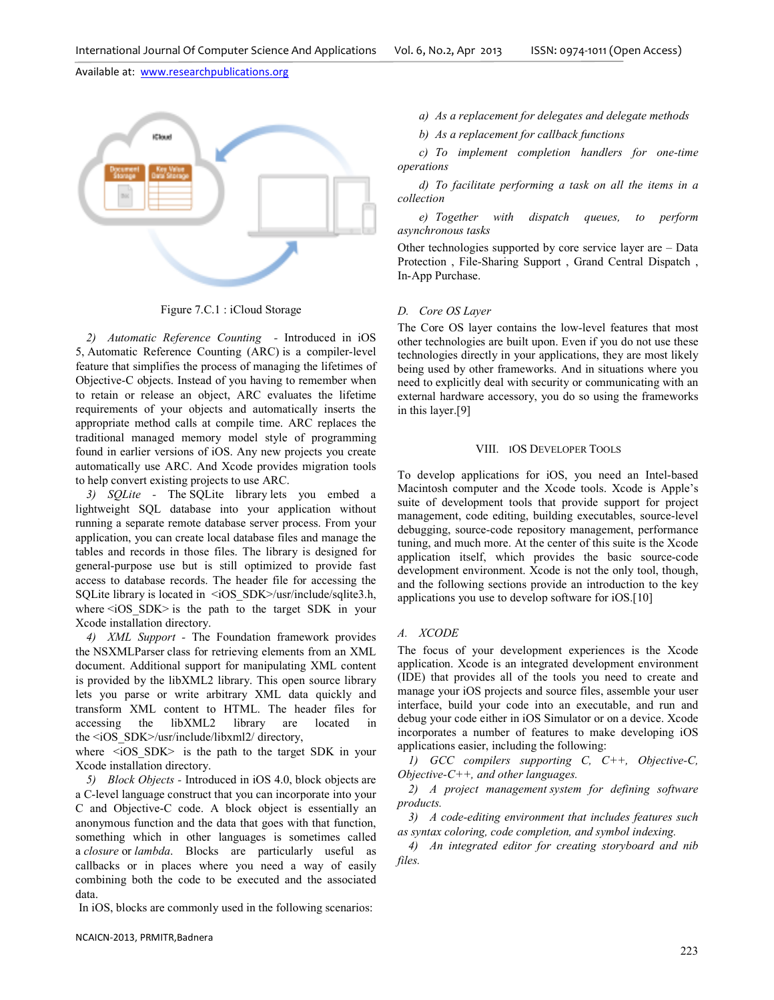

Figure 7.C.1 : iCloud Storage

*2) Automatic Reference Counting -* Introduced in iOS 5, Automatic Reference Counting (ARC) is a compiler-level feature that simplifies the process of managing the lifetimes of Objective-C objects. Instead of you having to remember when to retain or release an object, ARC evaluates the lifetime requirements of your objects and automatically inserts the appropriate method calls at compile time. ARC replaces the traditional managed memory model style of programming found in earlier versions of iOS. Any new projects you create automatically use ARC. And Xcode provides migration tools to help convert existing projects to use ARC.

*3) SQLite -* The SQLite library lets you embed a lightweight SQL database into your application without running a separate remote database server process. From your application, you can create local database files and manage the tables and records in those files. The library is designed for general-purpose use but is still optimized to provide fast access to database records. The header file for accessing the SQLite library is located in <iOS\_SDK>/usr/include/sqlite3.h, where  $\leq$ iOS SDK $>$  is the path to the target SDK in your Xcode installation directory.

*4) XML Support -* The Foundation framework provides the NSXMLParser class for retrieving elements from an XML document. Additional support for manipulating XML content is provided by the libXML2 library. This open source library lets you parse or write arbitrary XML data quickly and transform XML content to HTML. The header files for accessing the libXML2 library are located in the <iOS\_SDK>/usr/include/libxml2/ directory,

where  $\leq i$ OS SDK $>$  is the path to the target SDK in your Xcode installation directory.

*5) Block Objects -* Introduced in iOS 4.0, block objects are a C-level language construct that you can incorporate into your C and Objective-C code. A block object is essentially an anonymous function and the data that goes with that function, something which in other languages is sometimes called a *closure* or *lambda*. Blocks are particularly useful as callbacks or in places where you need a way of easily combining both the code to be executed and the associated data.

In iOS, blocks are commonly used in the following scenarios:

*a) As a replacement for delegates and delegate methods*

*b) As a replacement for callback functions* 

*c) To implement completion handlers for one-time operations* 

*d) To facilitate performing a task on all the items in a collection* 

*e) Together with dispatch queues, to perform asynchronous tasks* 

Other technologies supported by core service layer are – Data Protection , File-Sharing Support , Grand Central Dispatch , In-App Purchase.

## *D. Core OS Layer*

The Core OS layer contains the low-level features that most other technologies are built upon. Even if you do not use these technologies directly in your applications, they are most likely being used by other frameworks. And in situations where you need to explicitly deal with security or communicating with an external hardware accessory, you do so using the frameworks in this layer.[9]

## VIII. IOS DEVELOPER TOOLS

To develop applications for iOS, you need an Intel-based Macintosh computer and the Xcode tools. Xcode is Apple's suite of development tools that provide support for project management, code editing, building executables, source-level debugging, source-code repository management, performance tuning, and much more. At the center of this suite is the Xcode application itself, which provides the basic source-code development environment. Xcode is not the only tool, though, and the following sections provide an introduction to the key applications you use to develop software for iOS.[10]

## *A. XCODE*

The focus of your development experiences is the Xcode application. Xcode is an integrated development environment (IDE) that provides all of the tools you need to create and manage your iOS projects and source files, assemble your user interface, build your code into an executable, and run and debug your code either in iOS Simulator or on a device. Xcode incorporates a number of features to make developing iOS applications easier, including the following:

*1) GCC compilers supporting C, C++, Objective-C, Objective-C++, and other languages.* 

*2) A project management system for defining software products.* 

*3) A code-editing environment that includes features such as syntax coloring, code completion, and symbol indexing.* 

*4) An integrated editor for creating storyboard and nib files.*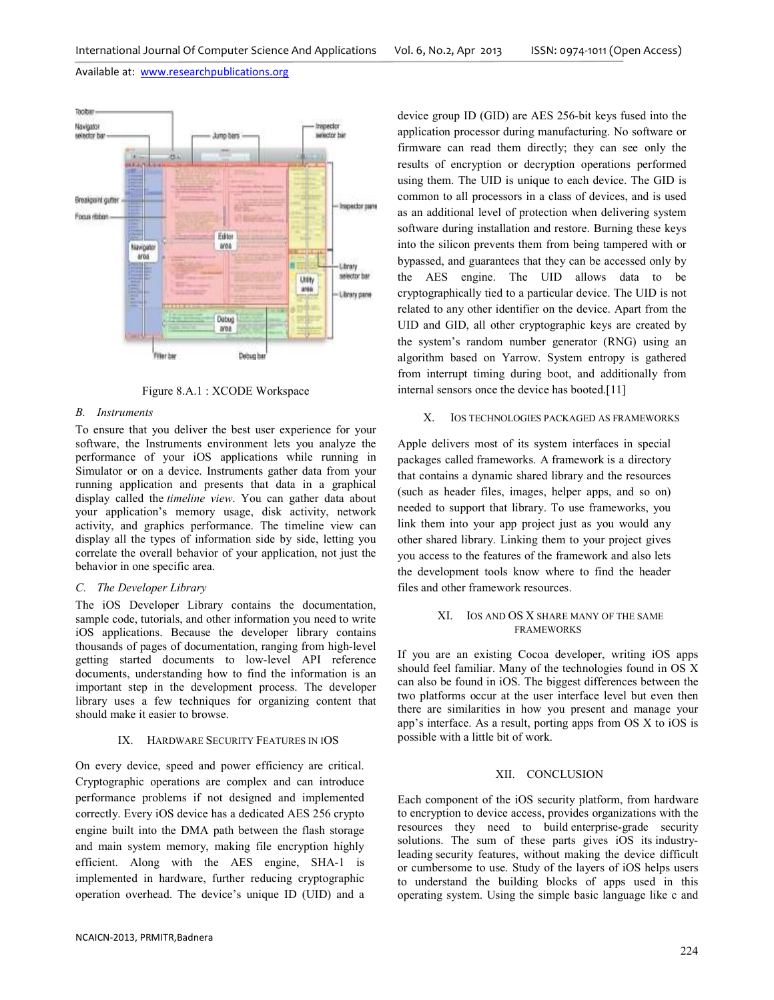

Figure 8.A.1 : XCODE Workspace

## *B. Instruments*

To ensure that you deliver the best user experience for your software, the Instruments environment lets you analyze the performance of your iOS applications while running in Simulator or on a device. Instruments gather data from your running application and presents that data in a graphical display called the *timeline view*. You can gather data about your application's memory usage, disk activity, network activity, and graphics performance. The timeline view can display all the types of information side by side, letting you correlate the overall behavior of your application, not just the behavior in one specific area.

# *C. The Developer Library*

The iOS Developer Library contains the documentation, sample code, tutorials, and other information you need to write iOS applications. Because the developer library contains thousands of pages of documentation, ranging from high-level getting started documents to low-level API reference documents, understanding how to find the information is an important step in the development process. The developer library uses a few techniques for organizing content that should make it easier to browse.

## IX. HARDWARE SECURITY FEATURES IN IOS

On every device, speed and power efficiency are critical. Cryptographic operations are complex and can introduce performance problems if not designed and implemented correctly. Every iOS device has a dedicated AES 256 crypto engine built into the DMA path between the flash storage and main system memory, making file encryption highly efficient. Along with the AES engine, SHA-1 is implemented in hardware, further reducing cryptographic operation overhead. The device's unique ID (UID) and a device group ID (GID) are AES 256-bit keys fused into the application processor during manufacturing. No software or firmware can read them directly; they can see only the results of encryption or decryption operations performed using them. The UID is unique to each device. The GID is common to all processors in a class of devices, and is used as an additional level of protection when delivering system software during installation and restore. Burning these keys into the silicon prevents them from being tampered with or bypassed, and guarantees that they can be accessed only by the AES engine. The UID allows data to be cryptographically tied to a particular device. The UID is not related to any other identifier on the device. Apart from the UID and GID, all other cryptographic keys are created by the system's random number generator (RNG) using an algorithm based on Yarrow. System entropy is gathered from interrupt timing during boot, and additionally from internal sensors once the device has booted.[11]

## X. IOS TECHNOLOGIES PACKAGED AS FRAMEWORKS

Apple delivers most of its system interfaces in special packages called frameworks. A framework is a directory that contains a dynamic shared library and the resources (such as header files, images, helper apps, and so on) needed to support that library. To use frameworks, you link them into your app project just as you would any other shared library. Linking them to your project gives you access to the features of the framework and also lets the development tools know where to find the header files and other framework resources.

# XI. IOS AND OS X SHARE MANY OF THE SAME FRAMEWORKS

If you are an existing Cocoa developer, writing iOS apps should feel familiar. Many of the technologies found in OS X can also be found in iOS. The biggest differences between the two platforms occur at the user interface level but even then there are similarities in how you present and manage your app's interface. As a result, porting apps from OS X to iOS is possible with a little bit of work.

## XII. CONCLUSION

Each component of the iOS security platform, from hardware to encryption to device access, provides organizations with the resources they need to build enterprise-grade security solutions. The sum of these parts gives iOS its industryleading security features, without making the device difficult or cumbersome to use. Study of the layers of iOS helps users to understand the building blocks of apps used in this operating system. Using the simple basic language like c and